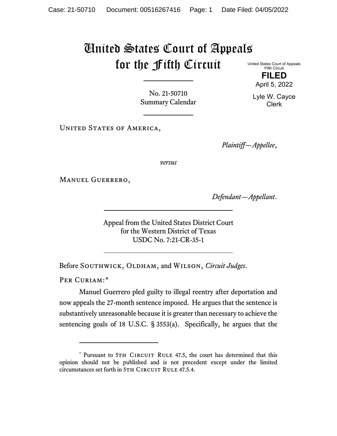## United States Court of Appeals for the Fifth Circuit

United States Court of Appeals Fifth Circuit **FILED**

No. 21-50710 Summary Calendar

UNITED STATES OF AMERICA,

*Plaintiff—Appellee*,

*versus*

Manuel Guerrero,

*Defendant—Appellant*.

Appeal from the United States District Court for the Western District of Texas USDC No. 7:21-CR-35-1

Before SOUTHWICK, OLDHAM, and WILSON, *Circuit Judges*.

PER CURIAM:[\\*](#page-0-0)

Manuel Guerrero pled guilty to illegal reentry after deportation and now appeals the 27-month sentence imposed. He argues that the sentence is substantively unreasonable because it is greater than necessary to achieve the sentencing goals of 18 U.S.C. § 3553(a). Specifically, he argues that the



Lyle W. Cayce Clerk

<span id="page-0-0"></span><sup>\*</sup> Pursuant to 5TH CIRCUIT RULE 47.5, the court has determined that this opinion should not be published and is not precedent except under the limited circumstances set forth in 5TH CIRCUIT RULE 47.5.4.